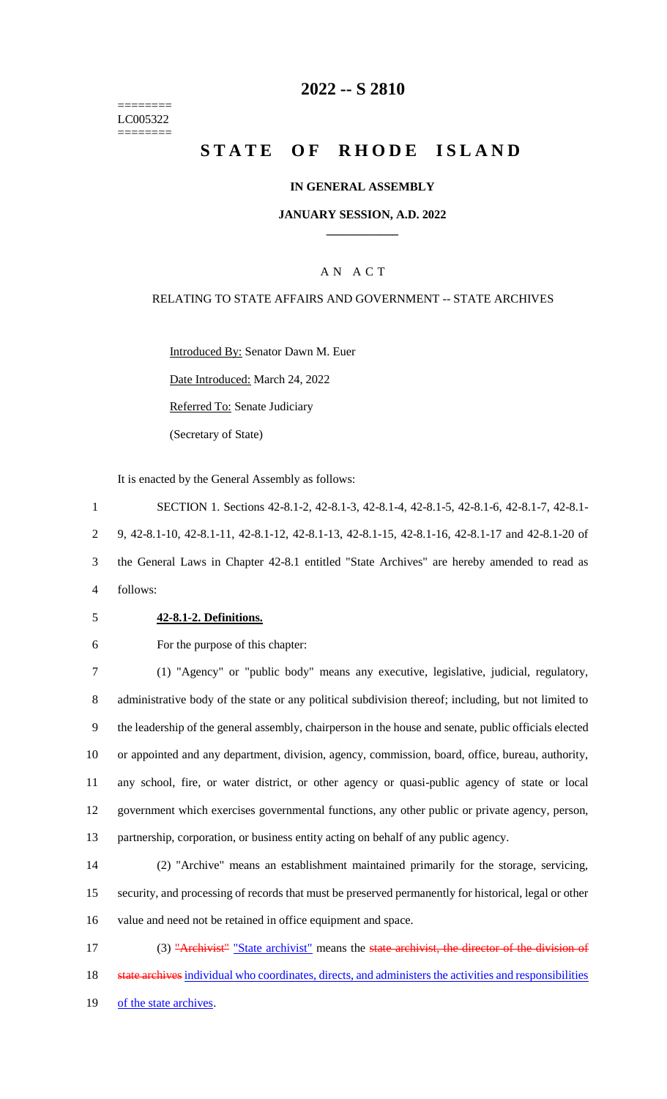======== LC005322 ========

## **2022 -- S 2810**

# **STATE OF RHODE ISLAND**

## **IN GENERAL ASSEMBLY**

## **JANUARY SESSION, A.D. 2022 \_\_\_\_\_\_\_\_\_\_\_\_**

## A N A C T

## RELATING TO STATE AFFAIRS AND GOVERNMENT -- STATE ARCHIVES

Introduced By: Senator Dawn M. Euer

Date Introduced: March 24, 2022

Referred To: Senate Judiciary

(Secretary of State)

It is enacted by the General Assembly as follows:

 SECTION 1. Sections 42-8.1-2, 42-8.1-3, 42-8.1-4, 42-8.1-5, 42-8.1-6, 42-8.1-7, 42-8.1- 9, 42-8.1-10, 42-8.1-11, 42-8.1-12, 42-8.1-13, 42-8.1-15, 42-8.1-16, 42-8.1-17 and 42-8.1-20 of the General Laws in Chapter 42-8.1 entitled "State Archives" are hereby amended to read as 4 follows:

#### 5 **42-8.1-2. Definitions.**

6 For the purpose of this chapter:

 (1) "Agency" or "public body" means any executive, legislative, judicial, regulatory, administrative body of the state or any political subdivision thereof; including, but not limited to the leadership of the general assembly, chairperson in the house and senate, public officials elected or appointed and any department, division, agency, commission, board, office, bureau, authority, any school, fire, or water district, or other agency or quasi-public agency of state or local government which exercises governmental functions, any other public or private agency, person, partnership, corporation, or business entity acting on behalf of any public agency.

14 (2) "Archive" means an establishment maintained primarily for the storage, servicing, 15 security, and processing of records that must be preserved permanently for historical, legal or other 16 value and need not be retained in office equipment and space.

17 (3) "Archivist" "State archivist" means the state archivist, the director of the division of 18 state archives individual who coordinates, directs, and administers the activities and responsibilities 19 of the state archives.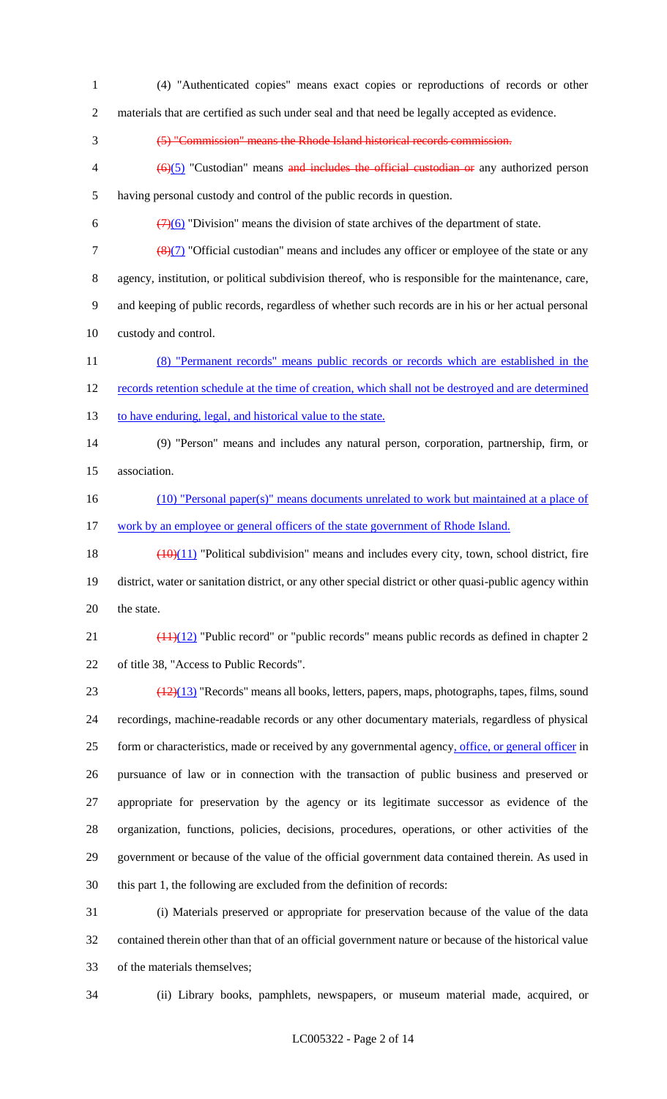- (4) "Authenticated copies" means exact copies or reproductions of records or other
- materials that are certified as such under seal and that need be legally accepted as evidence.
- (5) "Commission" means the Rhode Island historical records commission.
- $4 \left(6\right)(5)$  "Custodian" means and includes the official custodian or any authorized person having personal custody and control of the public records in question.
- 6  $\left(\frac{7}{6}\right)$  "Division" means the division of state archives of the department of state.
- 7  $\left(\frac{8}{7}\right)$  "Official custodian" means and includes any officer or employee of the state or any agency, institution, or political subdivision thereof, who is responsible for the maintenance, care, and keeping of public records, regardless of whether such records are in his or her actual personal custody and control.
- (8) "Permanent records" means public records or records which are established in the 12 records retention schedule at the time of creation, which shall not be destroyed and are determined 13 to have enduring, legal, and historical value to the state.
- (9) "Person" means and includes any natural person, corporation, partnership, firm, or association.
- 16 (10) "Personal paper(s)" means documents unrelated to work but maintained at a place of 17 work by an employee or general officers of the state government of Rhode Island.
- 18  $\left(\frac{(10)(11)}{10}\right)$  "Political subdivision" means and includes every city, town, school district, fire district, water or sanitation district, or any other special district or other quasi-public agency within the state.
- 21  $\left(\frac{(11)(12)}{2}\right)$  "Public record" or "public records" means public records as defined in chapter 2 of title 38, "Access to Public Records".
- 23  $\left(\frac{(12)(13)}{(12)(13)}\right)$  "Records" means all books, letters, papers, maps, photographs, tapes, films, sound recordings, machine-readable records or any other documentary materials, regardless of physical form or characteristics, made or received by any governmental agency, office, or general officer in pursuance of law or in connection with the transaction of public business and preserved or appropriate for preservation by the agency or its legitimate successor as evidence of the organization, functions, policies, decisions, procedures, operations, or other activities of the government or because of the value of the official government data contained therein. As used in this part 1, the following are excluded from the definition of records:
- (i) Materials preserved or appropriate for preservation because of the value of the data contained therein other than that of an official government nature or because of the historical value of the materials themselves;
- 

(ii) Library books, pamphlets, newspapers, or museum material made, acquired, or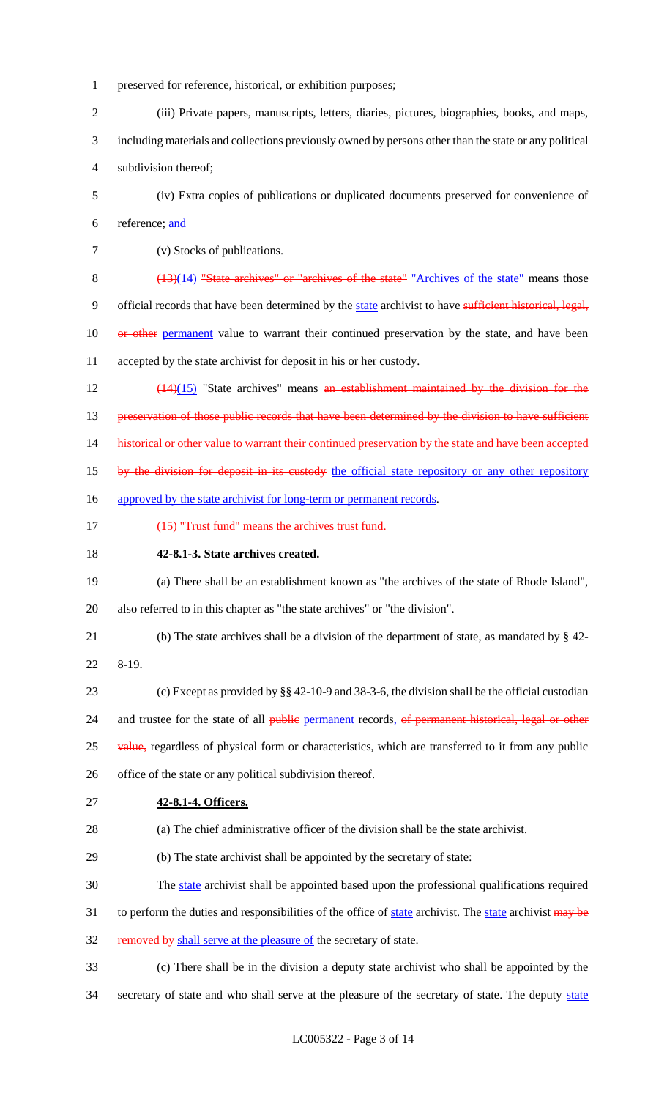- 1 preserved for reference, historical, or exhibition purposes;
- 2 (iii) Private papers, manuscripts, letters, diaries, pictures, biographies, books, and maps, 3 including materials and collections previously owned by persons other than the state or any political 4 subdivision thereof;
- 5 (iv) Extra copies of publications or duplicated documents preserved for convenience of 6 reference; and
- 7 (v) Stocks of publications.
- 8 (13)(14) "State archives" or "archives of the state" "Archives of the state" means those

9 official records that have been determined by the state archivist to have sufficient historical, legal,

10 or other permanent value to warrant their continued preservation by the state, and have been 11 accepted by the state archivist for deposit in his or her custody.

12 (14)(15) "State archives" means an establishment maintained by the division for the

13 preservation of those public records that have been determined by the division to have sufficient

14 historical or other value to warrant their continued preservation by the state and have been accepted

- 15 by the division for deposit in its custody the official state repository or any other repository
- 16 approved by the state archivist for long-term or permanent records.
- 17 (15) "Trust fund" means the archives trust fund.
- 18 **42-8.1-3. State archives created.**
- 19 (a) There shall be an establishment known as "the archives of the state of Rhode Island", 20 also referred to in this chapter as "the state archives" or "the division".
- 21 (b) The state archives shall be a division of the department of state, as mandated by § 42-
- 22 8-19.

23 (c) Except as provided by §§ 42-10-9 and 38-3-6, the division shall be the official custodian 24 and trustee for the state of all public permanent records, of permanent historical, legal or other 25 value, regardless of physical form or characteristics, which are transferred to it from any public 26 office of the state or any political subdivision thereof.

27 **42-8.1-4. Officers.**

28 (a) The chief administrative officer of the division shall be the state archivist.

- 29 (b) The state archivist shall be appointed by the secretary of state:
- 30 The state archivist shall be appointed based upon the professional qualifications required
- 31 to perform the duties and responsibilities of the office of state archivist. The state archivist may be
- 32 removed by shall serve at the pleasure of the secretary of state.
- 33 (c) There shall be in the division a deputy state archivist who shall be appointed by the 34 secretary of state and who shall serve at the pleasure of the secretary of state. The deputy state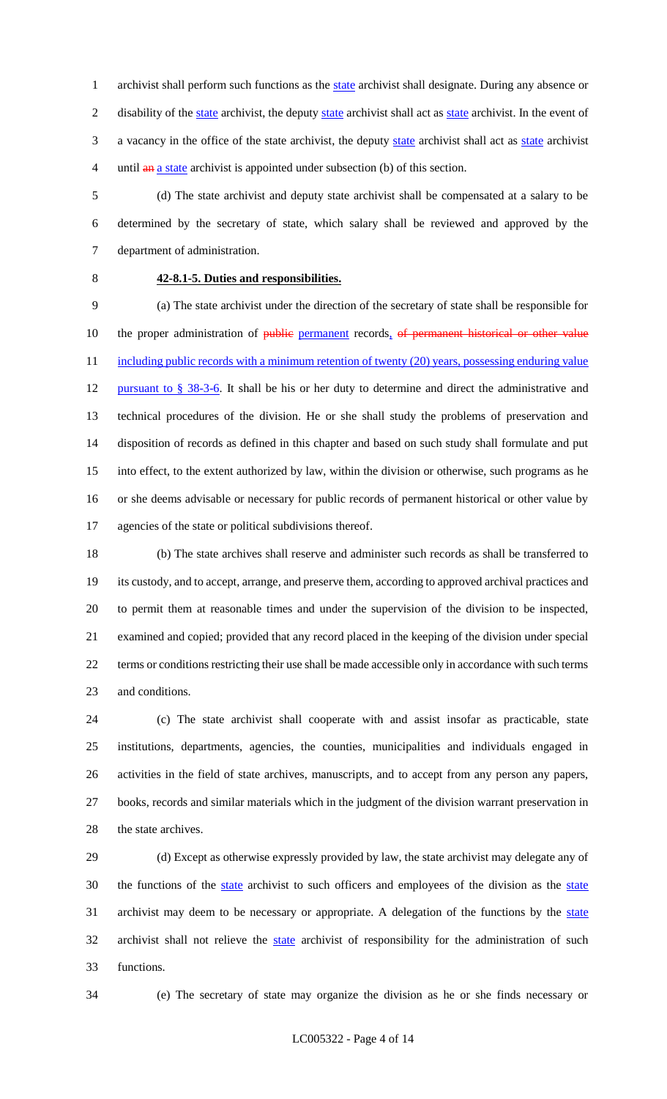1 archivist shall perform such functions as the state archivist shall designate. During any absence or 2 disability of the state archivist, the deputy state archivist shall act as state archivist. In the event of 3 a vacancy in the office of the state archivist, the deputy state archivist shall act as state archivist 4 until an a state archivist is appointed under subsection (b) of this section.

 (d) The state archivist and deputy state archivist shall be compensated at a salary to be determined by the secretary of state, which salary shall be reviewed and approved by the department of administration.

# **42-8.1-5. Duties and responsibilities.**

 (a) The state archivist under the direction of the secretary of state shall be responsible for 10 the proper administration of public permanent records, of permanent historical or other value 11 including public records with a minimum retention of twenty (20) years, possessing enduring value 12 pursuant to § 38-3-6. It shall be his or her duty to determine and direct the administrative and technical procedures of the division. He or she shall study the problems of preservation and disposition of records as defined in this chapter and based on such study shall formulate and put into effect, to the extent authorized by law, within the division or otherwise, such programs as he or she deems advisable or necessary for public records of permanent historical or other value by agencies of the state or political subdivisions thereof.

 (b) The state archives shall reserve and administer such records as shall be transferred to its custody, and to accept, arrange, and preserve them, according to approved archival practices and to permit them at reasonable times and under the supervision of the division to be inspected, examined and copied; provided that any record placed in the keeping of the division under special terms or conditions restricting their use shall be made accessible only in accordance with such terms and conditions.

 (c) The state archivist shall cooperate with and assist insofar as practicable, state institutions, departments, agencies, the counties, municipalities and individuals engaged in activities in the field of state archives, manuscripts, and to accept from any person any papers, books, records and similar materials which in the judgment of the division warrant preservation in 28 the state archives.

 (d) Except as otherwise expressly provided by law, the state archivist may delegate any of 30 the functions of the state archivist to such officers and employees of the division as the state archivist may deem to be necessary or appropriate. A delegation of the functions by the state 32 archivist shall not relieve the state archivist of responsibility for the administration of such functions.

(e) The secretary of state may organize the division as he or she finds necessary or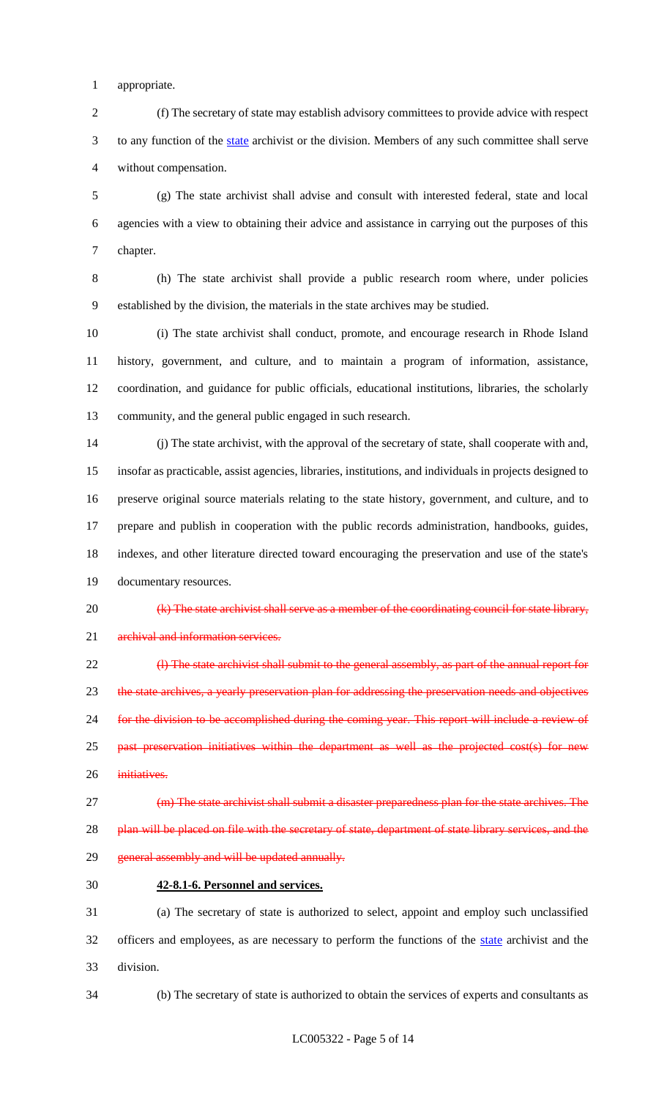appropriate.

 (f) The secretary of state may establish advisory committees to provide advice with respect 3 to any function of the state archivist or the division. Members of any such committee shall serve without compensation.

 (g) The state archivist shall advise and consult with interested federal, state and local agencies with a view to obtaining their advice and assistance in carrying out the purposes of this chapter.

 (h) The state archivist shall provide a public research room where, under policies established by the division, the materials in the state archives may be studied.

 (i) The state archivist shall conduct, promote, and encourage research in Rhode Island history, government, and culture, and to maintain a program of information, assistance, coordination, and guidance for public officials, educational institutions, libraries, the scholarly community, and the general public engaged in such research.

 (j) The state archivist, with the approval of the secretary of state, shall cooperate with and, insofar as practicable, assist agencies, libraries, institutions, and individuals in projects designed to preserve original source materials relating to the state history, government, and culture, and to prepare and publish in cooperation with the public records administration, handbooks, guides, indexes, and other literature directed toward encouraging the preservation and use of the state's documentary resources.

 (k) The state archivist shall serve as a member of the coordinating council for state library, 21 archival and information services.

 (l) The state archivist shall submit to the general assembly, as part of the annual report for the state archives, a yearly preservation plan for addressing the preservation needs and objectives for the division to be accomplished during the coming year. This report will include a review of 25 past preservation initiatives within the department as well as the projected cost(s) for new 26 initiatives.

 (m) The state archivist shall submit a disaster preparedness plan for the state archives. The 28 plan will be placed on file with the secretary of state, department of state library services, and the 29 general assembly and will be updated annually.

**42-8.1-6. Personnel and services.**

 (a) The secretary of state is authorized to select, appoint and employ such unclassified 32 officers and employees, as are necessary to perform the functions of the state archivist and the division.

(b) The secretary of state is authorized to obtain the services of experts and consultants as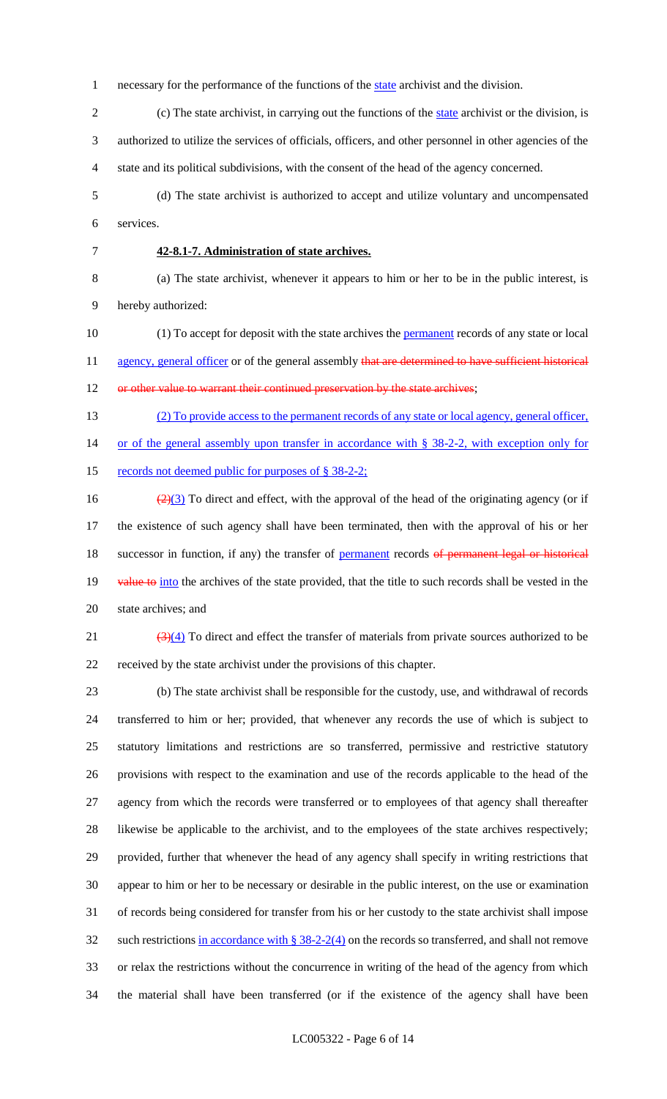1 necessary for the performance of the functions of the state archivist and the division.

 (c) The state archivist, in carrying out the functions of the state archivist or the division, is authorized to utilize the services of officials, officers, and other personnel in other agencies of the state and its political subdivisions, with the consent of the head of the agency concerned.

 (d) The state archivist is authorized to accept and utilize voluntary and uncompensated services.

## **42-8.1-7. Administration of state archives.**

 (a) The state archivist, whenever it appears to him or her to be in the public interest, is hereby authorized:

10 (1) To accept for deposit with the state archives the **permanent** records of any state or local 11 agency, general officer or of the general assembly that are determined to have sufficient historical 12 or other value to warrant their continued preservation by the state archives;

(2) To provide access to the permanent records of any state or local agency, general officer,

or of the general assembly upon transfer in accordance with § 38-2-2, with exception only for

15 records not deemed public for purposes of § 38-2-2;

16  $\left(\frac{2}{3}\right)$  To direct and effect, with the approval of the head of the originating agency (or if the existence of such agency shall have been terminated, then with the approval of his or her 18 successor in function, if any) the transfer of permanent records of permanent legal or historical 19 value to into the archives of the state provided, that the title to such records shall be vested in the state archives; and

 $\frac{(3)(4)}{2}$  To direct and effect the transfer of materials from private sources authorized to be received by the state archivist under the provisions of this chapter.

 (b) The state archivist shall be responsible for the custody, use, and withdrawal of records transferred to him or her; provided, that whenever any records the use of which is subject to statutory limitations and restrictions are so transferred, permissive and restrictive statutory provisions with respect to the examination and use of the records applicable to the head of the agency from which the records were transferred or to employees of that agency shall thereafter likewise be applicable to the archivist, and to the employees of the state archives respectively; provided, further that whenever the head of any agency shall specify in writing restrictions that appear to him or her to be necessary or desirable in the public interest, on the use or examination of records being considered for transfer from his or her custody to the state archivist shall impose such restrictions in accordance with § 38-2-2(4) on the records so transferred, and shall not remove or relax the restrictions without the concurrence in writing of the head of the agency from which the material shall have been transferred (or if the existence of the agency shall have been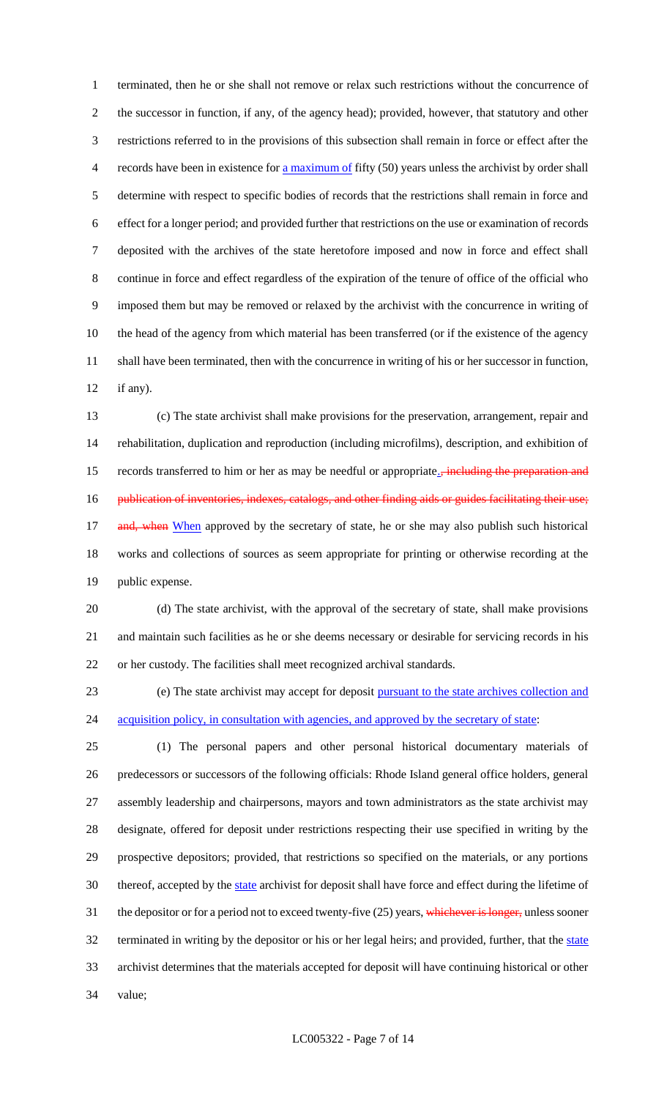terminated, then he or she shall not remove or relax such restrictions without the concurrence of the successor in function, if any, of the agency head); provided, however, that statutory and other restrictions referred to in the provisions of this subsection shall remain in force or effect after the records have been in existence for a maximum of fifty (50) years unless the archivist by order shall determine with respect to specific bodies of records that the restrictions shall remain in force and effect for a longer period; and provided further that restrictions on the use or examination of records deposited with the archives of the state heretofore imposed and now in force and effect shall continue in force and effect regardless of the expiration of the tenure of office of the official who imposed them but may be removed or relaxed by the archivist with the concurrence in writing of the head of the agency from which material has been transferred (or if the existence of the agency shall have been terminated, then with the concurrence in writing of his or her successor in function, if any).

 (c) The state archivist shall make provisions for the preservation, arrangement, repair and rehabilitation, duplication and reproduction (including microfilms), description, and exhibition of 15 records transferred to him or her as may be needful or appropriate.<sub>5</sub> including the preparation and 16 publication of inventories, indexes, catalogs, and other finding aids or guides facilitating their use; 17 and, when When approved by the secretary of state, he or she may also publish such historical works and collections of sources as seem appropriate for printing or otherwise recording at the public expense.

 (d) The state archivist, with the approval of the secretary of state, shall make provisions and maintain such facilities as he or she deems necessary or desirable for servicing records in his or her custody. The facilities shall meet recognized archival standards.

 (e) The state archivist may accept for deposit pursuant to the state archives collection and 24 acquisition policy, in consultation with agencies, and approved by the secretary of state:

 (1) The personal papers and other personal historical documentary materials of predecessors or successors of the following officials: Rhode Island general office holders, general assembly leadership and chairpersons, mayors and town administrators as the state archivist may designate, offered for deposit under restrictions respecting their use specified in writing by the prospective depositors; provided, that restrictions so specified on the materials, or any portions 30 thereof, accepted by the state archivist for deposit shall have force and effect during the lifetime of 31 the depositor or for a period not to exceed twenty-five (25) years, whichever is longer, unless sooner 32 terminated in writing by the depositor or his or her legal heirs; and provided, further, that the state archivist determines that the materials accepted for deposit will have continuing historical or other value;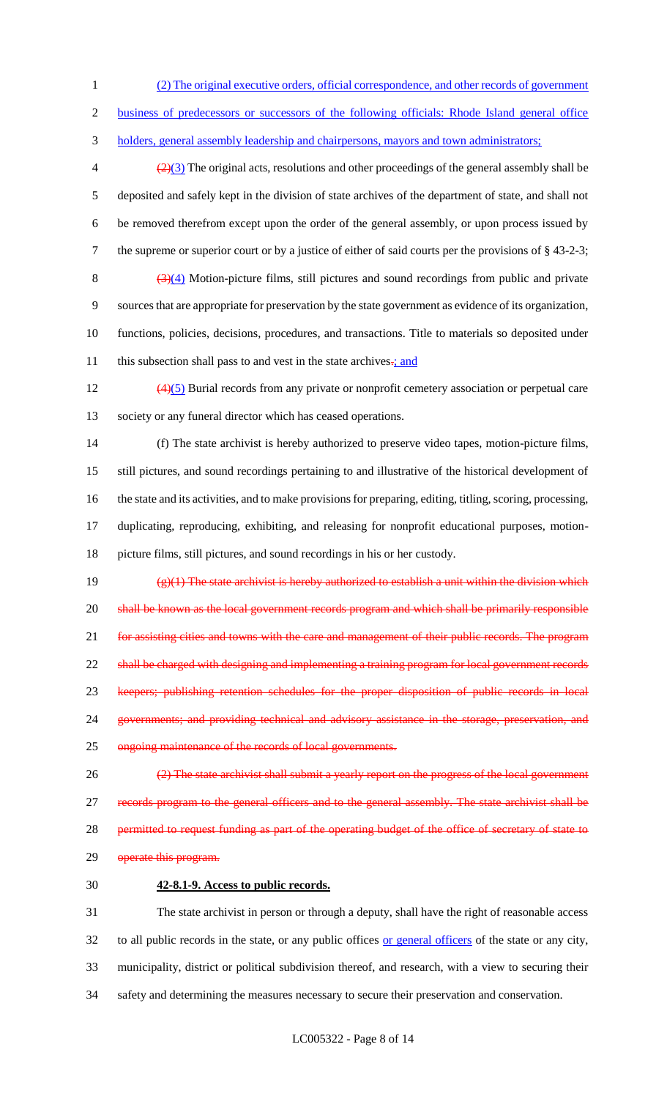- 1 (2) The original executive orders, official correspondence, and other records of government
- 2 business of predecessors or successors of the following officials: Rhode Island general office
- 3 holders, general assembly leadership and chairpersons, mayors and town administrators;

 $\left(\frac{2}{3}\right)$  The original acts, resolutions and other proceedings of the general assembly shall be deposited and safely kept in the division of state archives of the department of state, and shall not be removed therefrom except upon the order of the general assembly, or upon process issued by the supreme or superior court or by a justice of either of said courts per the provisions of § 43-2-3;  $\frac{(3)(4)}{2}$  Motion-picture films, still pictures and sound recordings from public and private sources that are appropriate for preservation by the state government as evidence of its organization, functions, policies, decisions, procedures, and transactions. Title to materials so deposited under 11 this subsection shall pass to and vest in the state archives-; and

 $\left(\frac{4}{5}\right)$  Burial records from any private or nonprofit cemetery association or perpetual care 13 society or any funeral director which has ceased operations.

 (f) The state archivist is hereby authorized to preserve video tapes, motion-picture films, still pictures, and sound recordings pertaining to and illustrative of the historical development of the state and its activities, and to make provisions for preparing, editing, titling, scoring, processing, duplicating, reproducing, exhibiting, and releasing for nonprofit educational purposes, motion-picture films, still pictures, and sound recordings in his or her custody.

19  $\left(\frac{e}{1}\right)$  The state archivist is hereby authorized to establish a unit within the division which 20 shall be known as the local government records program and which shall be primarily responsible 21 for assisting cities and towns with the care and management of their public records. The program 22 shall be charged with designing and implementing a training program for local government records 23 keepers; publishing retention schedules for the proper disposition of public records in local 24 governments; and providing technical and advisory assistance in the storage, preservation, and 25 ongoing maintenance of the records of local governments.

- 26 (2) The state archivist shall submit a yearly report on the progress of the local government 27 records program to the general officers and to the general assembly. The state archivist shall be 28 permitted to request funding as part of the operating budget of the office of secretary of state to 29 operate this program.
- 30 **42-8.1-9. Access to public records.**

 The state archivist in person or through a deputy, shall have the right of reasonable access 32 to all public records in the state, or any public offices or general officers of the state or any city, municipality, district or political subdivision thereof, and research, with a view to securing their safety and determining the measures necessary to secure their preservation and conservation.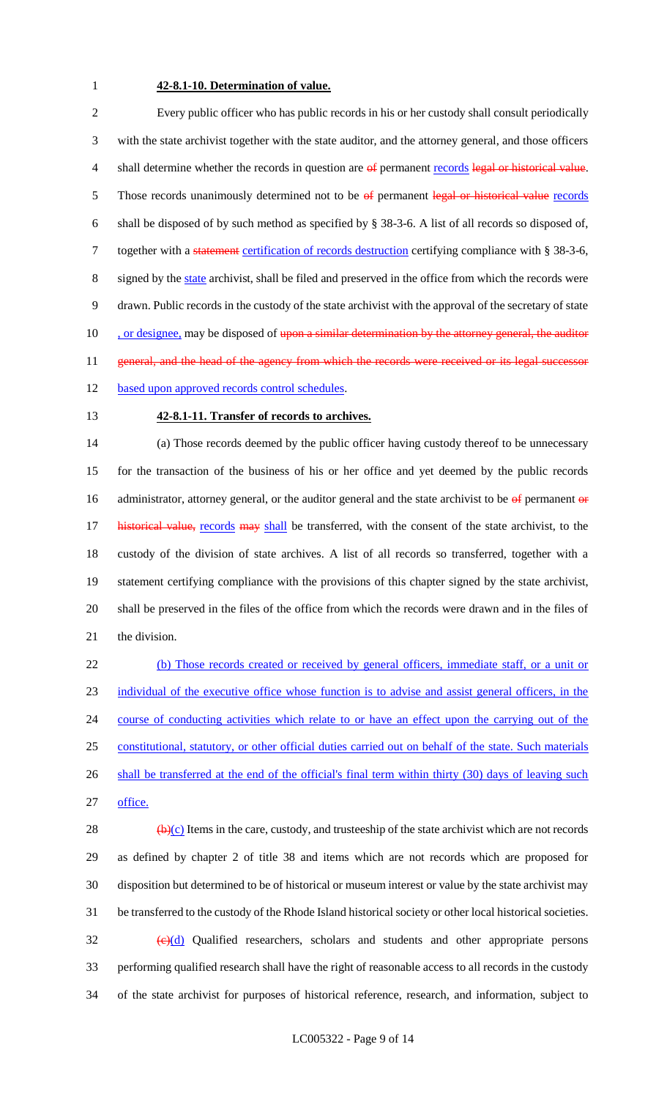# **42-8.1-10. Determination of value.**

 Every public officer who has public records in his or her custody shall consult periodically with the state archivist together with the state auditor, and the attorney general, and those officers 4 shall determine whether the records in question are of permanent records legal or historical value. 5 Those records unanimously determined not to be  $\theta$  permanent legal or historical value records shall be disposed of by such method as specified by § 38-3-6. A list of all records so disposed of, 7 together with a statement certification of records destruction certifying compliance with § 38-3-6, signed by the state archivist, shall be filed and preserved in the office from which the records were drawn. Public records in the custody of the state archivist with the approval of the secretary of state 10 . or designee, may be disposed of upon a similar determination by the attorney general, the auditor 11 general, and the head of the agency from which the records were received or its legal successor 12 based upon approved records control schedules.

## **42-8.1-11. Transfer of records to archives.**

 (a) Those records deemed by the public officer having custody thereof to be unnecessary for the transaction of the business of his or her office and yet deemed by the public records 16 administrator, attorney general, or the auditor general and the state archivist to be  $\theta$  permanent  $\theta$  r 17 historical value, records may shall be transferred, with the consent of the state archivist, to the custody of the division of state archives. A list of all records so transferred, together with a statement certifying compliance with the provisions of this chapter signed by the state archivist, shall be preserved in the files of the office from which the records were drawn and in the files of the division.

 (b) Those records created or received by general officers, immediate staff, or a unit or individual of the executive office whose function is to advise and assist general officers, in the 24 course of conducting activities which relate to or have an effect upon the carrying out of the constitutional, statutory, or other official duties carried out on behalf of the state. Such materials 26 shall be transferred at the end of the official's final term within thirty (30) days of leaving such office.

 $\left(\frac{b}{c}\right)$  Items in the care, custody, and trusteeship of the state archivist which are not records as defined by chapter 2 of title 38 and items which are not records which are proposed for disposition but determined to be of historical or museum interest or value by the state archivist may be transferred to the custody of the Rhode Island historical society or other local historical societies.  $\left(\frac{e}{d}\right)$  Qualified researchers, scholars and students and other appropriate persons performing qualified research shall have the right of reasonable access to all records in the custody of the state archivist for purposes of historical reference, research, and information, subject to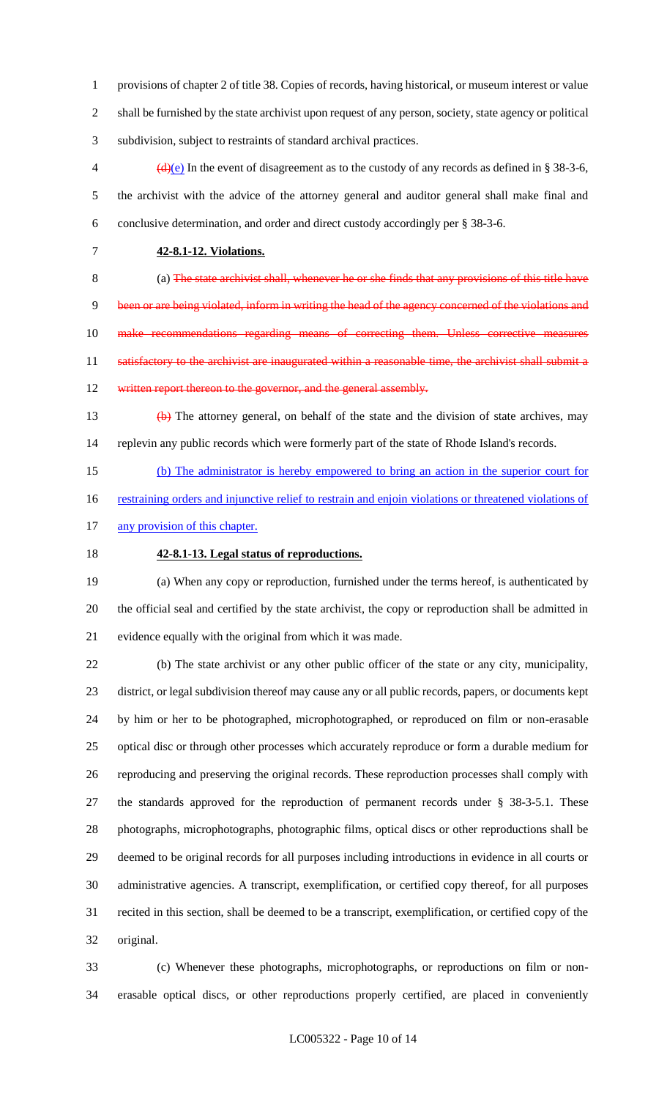provisions of chapter 2 of title 38. Copies of records, having historical, or museum interest or value shall be furnished by the state archivist upon request of any person, society, state agency or political subdivision, subject to restraints of standard archival practices.

 $\left(\frac{d}{e}\right)$  In the event of disagreement as to the custody of any records as defined in § 38-3-6, the archivist with the advice of the attorney general and auditor general shall make final and conclusive determination, and order and direct custody accordingly per § 38-3-6.

**42-8.1-12. Violations.**

 (a) The state archivist shall, whenever he or she finds that any provisions of this title have been or are being violated, inform in writing the head of the agency concerned of the violations and 10 make recommendations regarding means of correcting them. Unless corrective measures 11 satisfactory to the archivist are inaugurated within a reasonable time, the archivist shall submit a 12 written report thereon to the governor, and the general assembly.

 (b) The attorney general, on behalf of the state and the division of state archives, may replevin any public records which were formerly part of the state of Rhode Island's records.

(b) The administrator is hereby empowered to bring an action in the superior court for

- 16 restraining orders and injunctive relief to restrain and enjoin violations or threatened violations of
- 17 any provision of this chapter.
- 

# **42-8.1-13. Legal status of reproductions.**

 (a) When any copy or reproduction, furnished under the terms hereof, is authenticated by the official seal and certified by the state archivist, the copy or reproduction shall be admitted in evidence equally with the original from which it was made.

 (b) The state archivist or any other public officer of the state or any city, municipality, district, or legal subdivision thereof may cause any or all public records, papers, or documents kept by him or her to be photographed, microphotographed, or reproduced on film or non-erasable optical disc or through other processes which accurately reproduce or form a durable medium for reproducing and preserving the original records. These reproduction processes shall comply with the standards approved for the reproduction of permanent records under § 38-3-5.1. These photographs, microphotographs, photographic films, optical discs or other reproductions shall be deemed to be original records for all purposes including introductions in evidence in all courts or administrative agencies. A transcript, exemplification, or certified copy thereof, for all purposes recited in this section, shall be deemed to be a transcript, exemplification, or certified copy of the original.

 (c) Whenever these photographs, microphotographs, or reproductions on film or non-erasable optical discs, or other reproductions properly certified, are placed in conveniently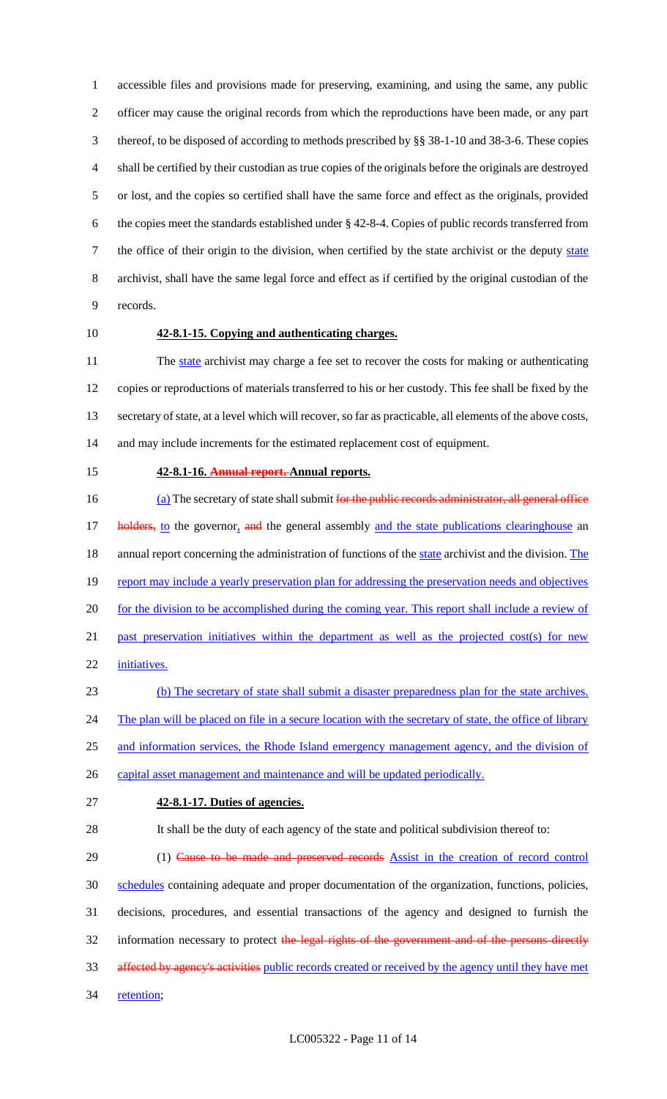accessible files and provisions made for preserving, examining, and using the same, any public officer may cause the original records from which the reproductions have been made, or any part thereof, to be disposed of according to methods prescribed by §§ 38-1-10 and 38-3-6. These copies shall be certified by their custodian as true copies of the originals before the originals are destroyed or lost, and the copies so certified shall have the same force and effect as the originals, provided the copies meet the standards established under § 42-8-4. Copies of public records transferred from 7 the office of their origin to the division, when certified by the state archivist or the deputy state archivist, shall have the same legal force and effect as if certified by the original custodian of the records.

# **42-8.1-15. Copying and authenticating charges.**

11 The state archivist may charge a fee set to recover the costs for making or authenticating copies or reproductions of materials transferred to his or her custody. This fee shall be fixed by the secretary of state, at a level which will recover, so far as practicable, all elements of the above costs, and may include increments for the estimated replacement cost of equipment.

#### **42-8.1-16. Annual report. Annual reports.**

16 (a) The secretary of state shall submit for the public records administrator, all general office **holders, to** the governor, and the general assembly and the state publications clearinghouse an 18 annual report concerning the administration of functions of the state archivist and the division. The 19 report may include a yearly preservation plan for addressing the preservation needs and objectives 20 for the division to be accomplished during the coming year. This report shall include a review of 21 past preservation initiatives within the department as well as the projected cost(s) for new initiatives. (b) The secretary of state shall submit a disaster preparedness plan for the state archives. 24 The plan will be placed on file in a secure location with the secretary of state, the office of library

and information services, the Rhode Island emergency management agency, and the division of

26 capital asset management and maintenance and will be updated periodically.

## **42-8.1-17. Duties of agencies.**

It shall be the duty of each agency of the state and political subdivision thereof to:

29 (1) Cause to be made and preserved records Assist in the creation of record control

schedules containing adequate and proper documentation of the organization, functions, policies,

decisions, procedures, and essential transactions of the agency and designed to furnish the

- 32 information necessary to protect the legal rights of the government and of the persons directly
- affected by agency's activities public records created or received by the agency until they have met
- 34 retention;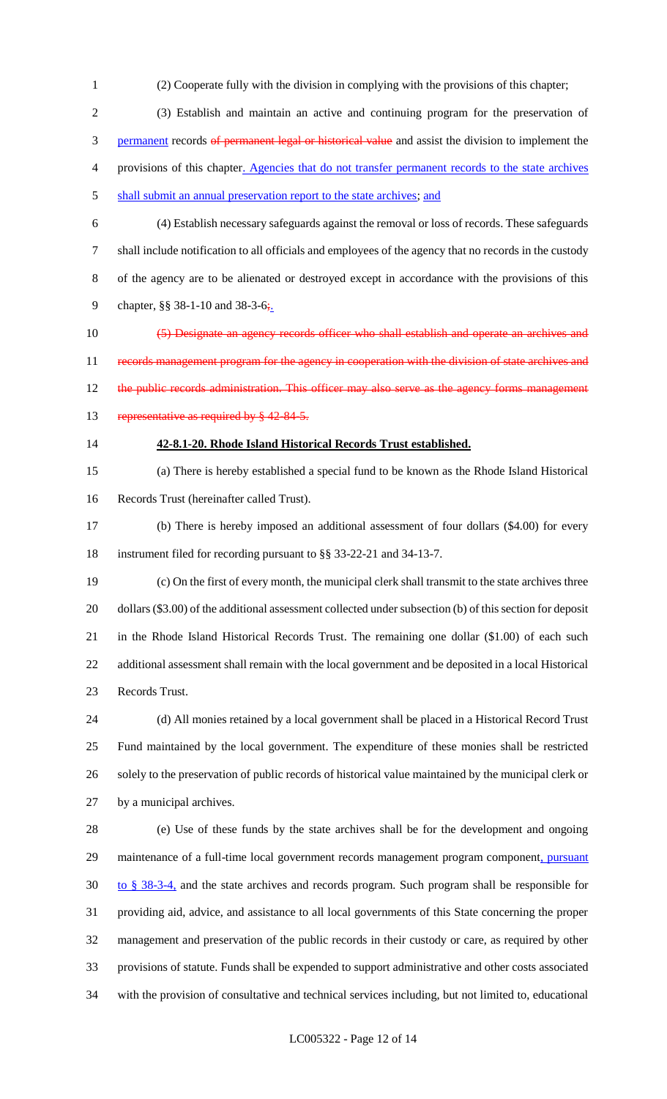- (2) Cooperate fully with the division in complying with the provisions of this chapter;
- (3) Establish and maintain an active and continuing program for the preservation of 3 permanent records of permanent legal or historical value and assist the division to implement the provisions of this chapter. Agencies that do not transfer permanent records to the state archives 5 shall submit an annual preservation report to the state archives; and
- 

 (4) Establish necessary safeguards against the removal or loss of records. These safeguards shall include notification to all officials and employees of the agency that no records in the custody of the agency are to be alienated or destroyed except in accordance with the provisions of this 9 chapter, §§ 38-1-10 and 38-3-6;.

10 (5) Designate an agency records officer who shall establish and operate an archives and 11 records management program for the agency in cooperation with the division of state archives and 12 the public records administration. This officer may also serve as the agency forms management 13 representative as required by § 42-84-5.

## **42-8.1-20. Rhode Island Historical Records Trust established.**

 (a) There is hereby established a special fund to be known as the Rhode Island Historical Records Trust (hereinafter called Trust).

 (b) There is hereby imposed an additional assessment of four dollars (\$4.00) for every instrument filed for recording pursuant to §§ 33-22-21 and 34-13-7.

 (c) On the first of every month, the municipal clerk shall transmit to the state archives three dollars (\$3.00) of the additional assessment collected under subsection (b) of this section for deposit in the Rhode Island Historical Records Trust. The remaining one dollar (\$1.00) of each such additional assessment shall remain with the local government and be deposited in a local Historical Records Trust.

 (d) All monies retained by a local government shall be placed in a Historical Record Trust Fund maintained by the local government. The expenditure of these monies shall be restricted solely to the preservation of public records of historical value maintained by the municipal clerk or by a municipal archives.

 (e) Use of these funds by the state archives shall be for the development and ongoing 29 maintenance of a full-time local government records management program component, pursuant to § 38-3-4, and the state archives and records program. Such program shall be responsible for providing aid, advice, and assistance to all local governments of this State concerning the proper management and preservation of the public records in their custody or care, as required by other provisions of statute. Funds shall be expended to support administrative and other costs associated with the provision of consultative and technical services including, but not limited to, educational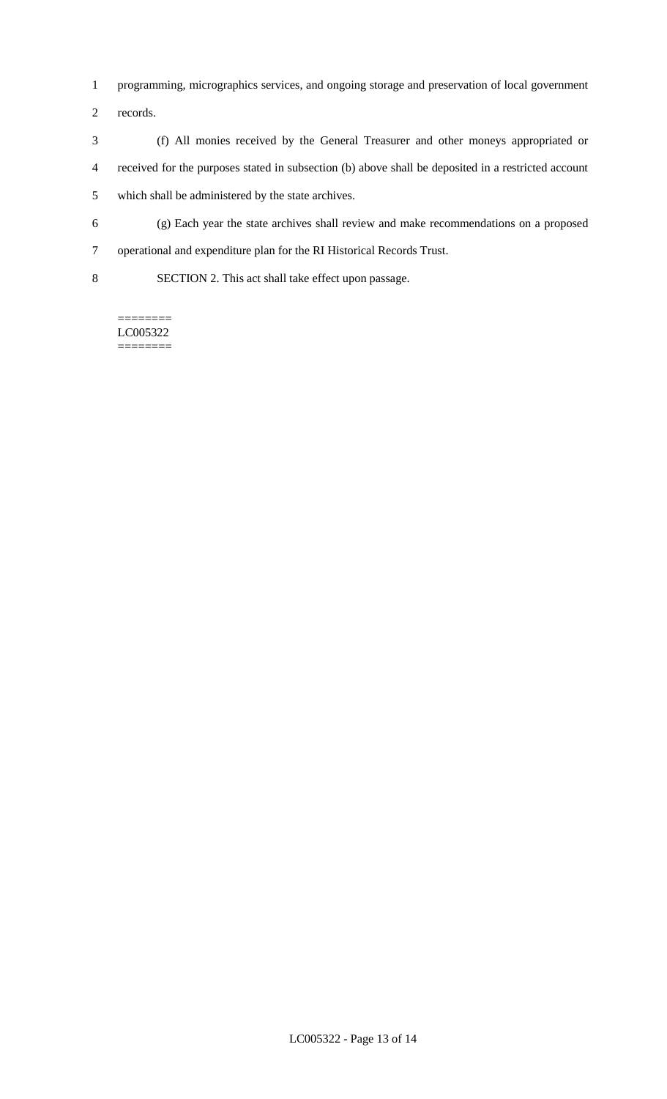- programming, micrographics services, and ongoing storage and preservation of local government
- records.
- (f) All monies received by the General Treasurer and other moneys appropriated or received for the purposes stated in subsection (b) above shall be deposited in a restricted account which shall be administered by the state archives.
- (g) Each year the state archives shall review and make recommendations on a proposed
- operational and expenditure plan for the RI Historical Records Trust.
- SECTION 2. This act shall take effect upon passage.

======== LC005322 ========